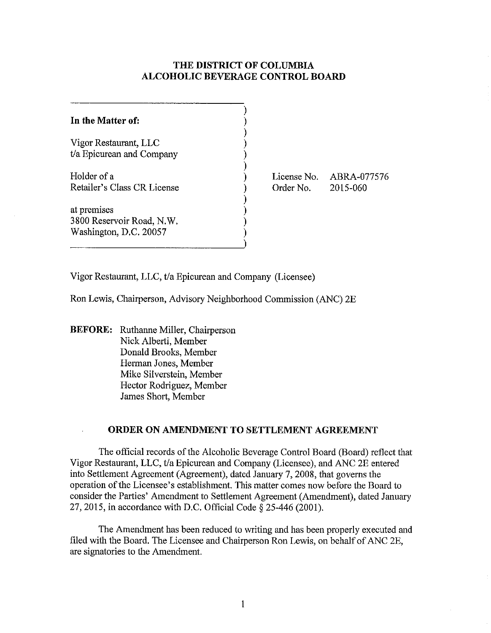## **THE DISTRICT OF COLUMBIA ALCOHOLIC BEVERAGE CONTROL BOARD**

| In the Matter of:           |  |
|-----------------------------|--|
| Vigor Restaurant, LLC       |  |
| t/a Epicurean and Company   |  |
| Holder of a                 |  |
| Retailer's Class CR License |  |
| at premises                 |  |
| 3800 Reservoir Road, N.W.   |  |
| Washington, D.C. 20057      |  |
|                             |  |

License No. ABRA-077576 Order No. 2015-060

Vigor Restaurant, LLC, t/a Epicurean and Company (Licensee)

Ron Lewis, Chairperson, Advisory Neighborhood Commission (ANC) 2E

**BEFORE:** Ruthanne Miller, Chairperson Nick Alberti, Member Donald Brooks, Member Herman Jones, Member Mike Silverstein, Member Hector Rodriguez, Member James Short, Member

### **ORDER ON AMENDMENT TO SETTLEMENT AGREEMENT**

The official records of the Alcoholic Beverage Control Board (Board) reflect that Vigor Restaurant, LLC, tla Epicurean and Company (Licensee), and ANC 2E entered into Settlement Agreement (Agreement), dated January 7, 2008, that governs the operation of the Licensee's establishment. This matter comes now before the Board to consider the Parties' Amendment to Settlement Agreement (Amendment), dated January 27,2015, in accordance with D.C. Official Code § 25-446 (2001).

The Amendment has been reduced to writing and has been properly executed and filed with the Board. The Licensee and Chairperson Ron Lewis, on behalf of ANC 2E, are signatories to the Amendment.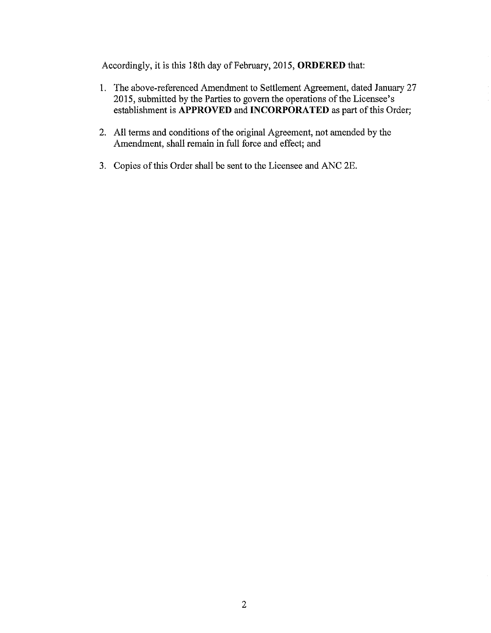Accordingly, it is this 18th day of February, 2015, **ORDERED** that:

- 1. The above-referenced Amendment to Settlement Agreement, dated January 27 2015, submitted by the Parties to govern the operations of the Licensee's establishment is **APPROVED** and **INCORPORATED** as part of this Order;
- 2. All terms and conditions of the original Agreement, not amended by the Amendment, shall remain in **full** force and effect; and
- 3. Copies of this Order shall be sent to the Licensee and ANC 2E.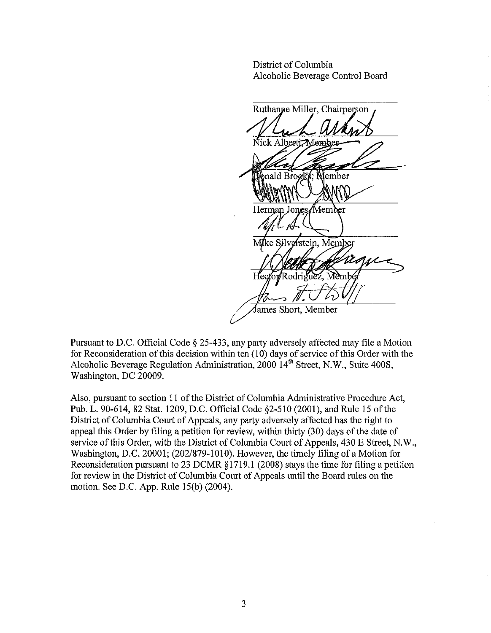District of Columbia Alcoholic Beverage Control Board

Ruthanne Miller, Chairperson ck Alberti Member anald Brooks, Member Herman Jones/Member Mike Silverstein, Member  $H_{\rm ec}$ Rodriguez Mem James Short, Member

Pursuant to D.C. Official Code § 25-433, any party adversely affected may file a Motion for Reconsideration of this decision within ten (10) days of service of this Order with the Alcoholic Beverage Regulation Administration, 2000 14<sup>th</sup> Street, N.W., Suite 400S, Washington, DC 20009.

Also, pursuant to section 11 of the District of Columbia Administrative Procedure Act, Pub. L. 90-614, 82 Stat. 1209, D.C. Official Code §2-510 (2001), and Rule 15 of the District of Columbia Court of Appeals, any party adversely affected has the right to appeal this Order by filing a petition for review, within thirty (30) days of the date of service of this Order, with the District of Columbia Court of Appeals, 430 E Street, N.W., Washington, D.C. 20001; (202/879-1010). However, the timely filing of a Motion for Reconsideration pursuant to 23 DCMR § 1719.1 (2008) stays the time for filing a petition for review in the District of Columbia Court of Appeals until the Board rules on the motion. See D.C. App. Rule 15(b) (2004).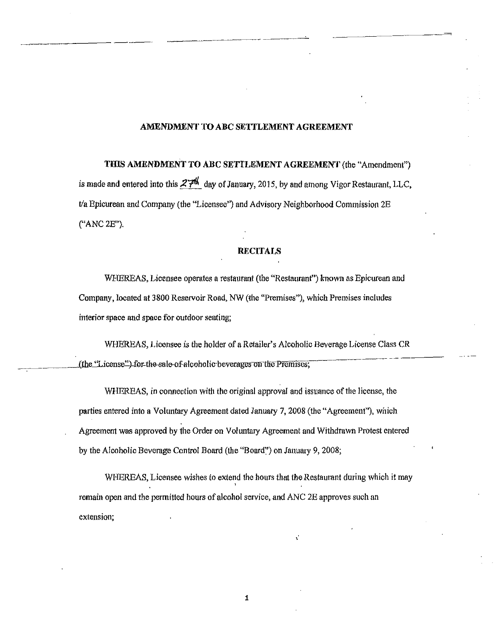#### AMENDMENT **TO** ABC SETTLEMENT AGREEMENT

--------\_.

THIS AMENDMENT **TO** ABC SETTLEMENT AGREEMENT (the "Amendment") is made and entered into this  $27th$  day of January, 2015, by and among Vigor Restaurant, LLC,  $t/a$  Epicurean and Company (the "Licensee") and Advisory Neighborhood Commission  $2E$ ("ANC 2E").

### **RECITALS**

WHEREAS, Licensee operates a restaurant (the "Restaurant") known as Epicurean and Company, located at 3800 Reservoir Road, NW (the "Premises"), which Premises includes interior space and space for outdoor seating;

WHEREAS, Licensee is the holder of a Retailer's Alcoholic Beverage License Class CR (the...Tricense")-for-the-sale-of-alcoholic-beverages on the Premises;

WHEREAS, in connection with the original approval and issuance of the license, the parties entered into a Voluntary Agreement dated January 7, 2008 (the "Agreement"), which Agreement was approved by the Order on Voluntary Agreement and Withdrawn Protest entered by the Alcoholic Beverage Control Board (the "Board~') on January 9, 2008;

WHEREAS, Licensee wishes to extend the hours that the Restaurant during which it may remain open and the permitted hours of alcohol service, and ANC 2E approves such an extension;

1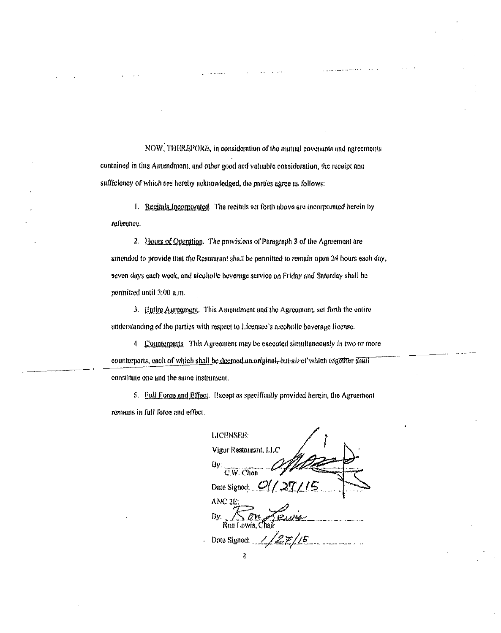NOW, THEREPORE, in consideration of the mutual covenants and agreements contained in this Amendment, and other good and valuable consideration, the receipt and sufficiency of which are hereby acknowledged, the parties agree as follows:

1. Reginals Incorporated. The recitals set forth above are incorporated herein by reference.

2. Hours of Operation. The provisions of Paragraph 3 of the Agreement are amended to provide that the Restaurant shall be permitted to remain open 24 hours each day, seven days each week, and alcoholic beverage service on Friday and Saturday shall be permitted until 3:00 a.m.

3. Entire Agreement. This Amendment and the Agreement, set forth the entire understanding of the parties with respect to Licensee's alcoholic beverage license.

4. Counterparts. This Agreement may be executed simultaneously in two or more counterparts, each of which shall be deemed an original, but all of which together shall constitute one and the same instrument.

5. Full Force and Effect. Except as specifically provided herein, the Agreement remains in full force and effect.

LICENSEE: Vigor Restaurant, LLC By:  $\overline{C.W. Chon}$ Date Signod:  $O//$ ANC<sub>2</sub>E: Bν.  $1/27/15$ Date Signed: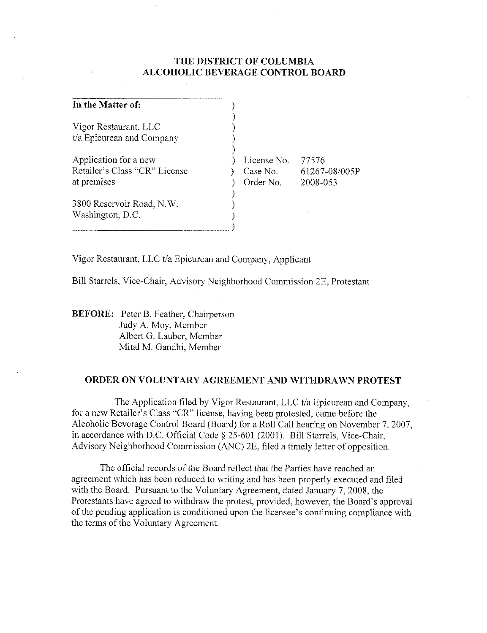# THE DISTRICT OF COLUMBIA **ALCOHOLIC BEVERAGE CONTROL BOARD**

| In the Matter of:             |             |               |
|-------------------------------|-------------|---------------|
| Vigor Restaurant, LLC         |             |               |
| t/a Epicurean and Company     |             |               |
| Application for a new         | License No. | 77576         |
| Retailer's Class "CR" License | Case No.    | 61267-08/005P |
| at premises                   | Order No.   | 2008-053      |
| 3800 Reservoir Road, N.W.     |             |               |
| Washington, D.C.              |             |               |
|                               |             |               |

Vigor Restaurant, LLC t/a Epicurean and Company, Applicant

Bill Starrels, Vice-Chair, Advisory Neighborhood Commission 2E, Protestant

**BEFORE:** Peter B. Feather, Chairperson Judy A. Moy, Member Albert G. Lauber, Member Mital M. Gandhi, Member

## ORDER ON VOLUNTARY AGREEMENT AND WITHDRAWN PROTEST

The Application filed by Vigor Restaurant, LLC t/a Epicurean and Company, for a new Retailer's Class "CR" license, having been protested, came before the Alcoholic Beverage Control Board (Board) for a Roll Call hearing on November 7, 2007, in accordance with D.C. Official Code § 25-601 (2001). Bill Starrels, Vice-Chair, Advisory Neighborhood Commission (ANC) 2E, filed a timely letter of opposition.

The official records of the Board reflect that the Parties have reached an agreement which has been reduced to writing and has been properly executed and filed with the Board. Pursuant to the Voluntary Agreement, dated January 7, 2008, the Protestants have agreed to withdraw the protest, provided, however, the Board's approval of the pending application is conditioned upon the licensee's continuing compliance with the terms of the Voluntary Agreement.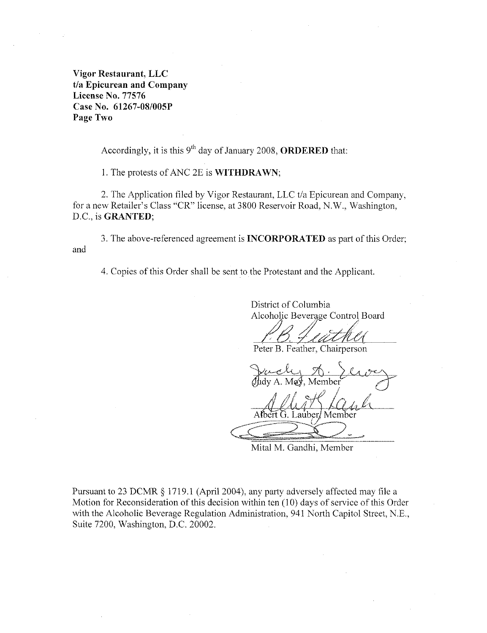Vigor Restaurant, LLC t/a Epicurean and Company **License No. 77576** Case No. 61267-08/005P Page Two

Accordingly, it is this  $9<sup>th</sup>$  day of January 2008, **ORDERED** that:

1. The protests of ANC 2E is **WITHDRAWN**;

2. The Application filed by Vigor Restaurant, LLC t/a Epicurean and Company, for a new Retailer's Class "CR" license, at 3800 Reservoir Road, N.W., Washington, D.C., is GRANTED;

3. The above-referenced agreement is **INCORPORATED** as part of this Order; and

4. Copies of this Order shall be sent to the Protestant and the Applicant.

District of Columbia Alcoholic Beverage Control Board

Peter B. Feather, Chairperson

Member

Mital M. Gandhi, Member

Pursuant to 23 DCMR § 1719.1 (April 2004), any party adversely affected may file a Motion for Reconsideration of this decision within ten (10) days of service of this Order with the Alcoholic Beverage Regulation Administration, 941 North Capitol Street, N.E., Suite 7200, Washington, D.C. 20002.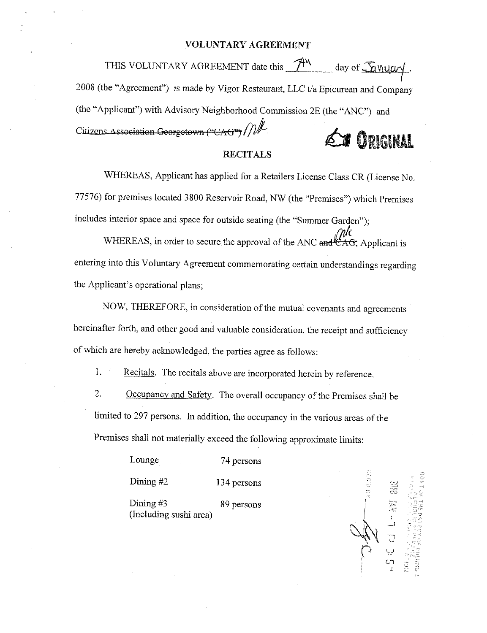### VOLUNTARY AGREEMENT

THIS VOLUNTARY AGREEMENT date this 7<sup>44</sup> day of <u>Sanyary</u>, 2008 (the "Agreement") is made by Vigor Restaurant, LLC t/a Epicurean and Company (the "Applicant") with Advisory Neighborhood Commission 2E (the "ANC") and Citizens Association Georgetown ("CAG") / / **TERRANT** 

### **RECITALS**

WHEREAS, Applicant has applied for a Retailers License Class CR (License No. 77576) for premises located 3800 Reservoir Road, NW (the "Premises") which Premises includes interior space and space for outside seating (the "Summer Garden");

WHEREAS, in order to secure the approval of the ANC and AC. Applicant is entering into this Voluntary Agreement commemorating certain understandings regarding the Applicant's operational plans;

NOW, THEREFORE, in consideration of the mutual covenants and agreements hereinafter forth, and other good and valuable consideration, the receipt and sufficiency of which are hereby acknowledged, the parties agree as follows:

1. Recitals. The recitals above are incorporated herein by reference.

 $\overline{2}$ . Occupancy and Safety. The overall occupancy of the Premises shall be limited to 297 persons. In addition, the occupancy in the various areas of the Premises shall not materially exceed the following approximate limits:

> Lounge 74 persons Dining  $#2$ 134 persons

Dining  $#3$ 89 persons (Including sushi area)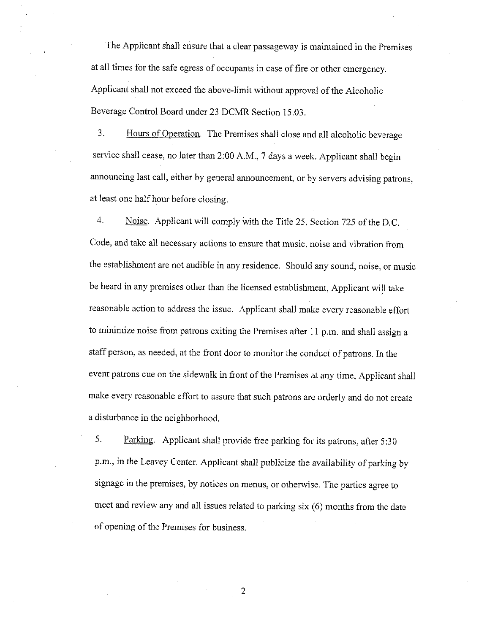The Applicant shall ensure that a clear passageway is maintained in the Premises at all times for the safe egress of occupants in case of fire or other emergency. Applicant shall not exceed the above-limit without approval of the Alcoholic Beverage Control Board under 23 DCMR Section 15.03.

 $3.$ Hours of Operation. The Premises shall close and all alcoholic beverage service shall cease, no later than 2:00 A.M., 7 days a week. Applicant shall begin announcing last call, either by general announcement, or by servers advising patrons, at least one half hour before closing.

4. Noise. Applicant will comply with the Title 25, Section 725 of the D.C. Code, and take all necessary actions to ensure that music, noise and vibration from the establishment are not audible in any residence. Should any sound, noise, or music be heard in any premises other than the licensed establishment, Applicant will take reasonable action to address the issue. Applicant shall make every reasonable effort to minimize noise from patrons exiting the Premises after 11 p.m. and shall assign a staff person, as needed, at the front door to monitor the conduct of patrons. In the event patrons cue on the sidewalk in front of the Premises at any time, Applicant shall make every reasonable effort to assure that such patrons are orderly and do not create a disturbance in the neighborhood.

5. Parking. Applicant shall provide free parking for its patrons, after 5:30 p.m., in the Leavey Center. Applicant shall publicize the availability of parking by signage in the premises, by notices on menus, or otherwise. The parties agree to meet and review any and all issues related to parking six (6) months from the date of opening of the Premises for business.

2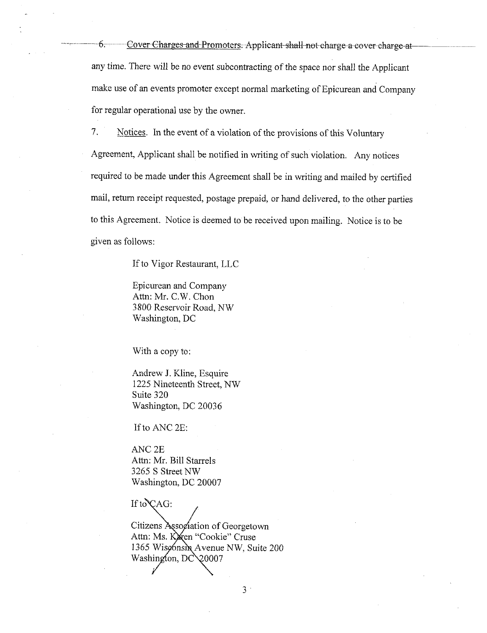6. Cover Charges and Promoters. Applicant shall not charge a cover charge at any time. There will be no event subcontracting of the space nor shall the Applicant make use of an events promoter except normal marketing of Epicurean and Company for regular operational use by the owner.

7. Notices. In the event of a violation of the provisions of this Voluntary Agreement, Applicant shall be notified in writing of such violation. Any notices required to be made under this Agreement shall be in writing and mailed by certified mail, return receipt requested, postage prepaid, or hand delivered, to the other parties to this Agreement. Notice is deemed to be received upon mailing. Notice is to be given as follows:

If to Vigor Restaurant, LLC

Epicurean and Company Attn: Mr. C.W. Chon 3800 Reservoir Road, NW Washington, DC

With a copy to:

Andrew J. Kline, Esquire 1225 Nineteenth Street, NW Suite 320 Washington, DC 20036

If to ANC 2E:

ANC<sub>2E</sub> Attn: Mr. Bill Starrels 3265 S Street NW Washington, DC 20007

If to  $CAG$ :

Citizens Association of Georgetown Attn: Ms. Karen "Cookie" Cruse 1365 Wisconsin Avenue NW, Suite 200 Washington, DC\20007

 $3$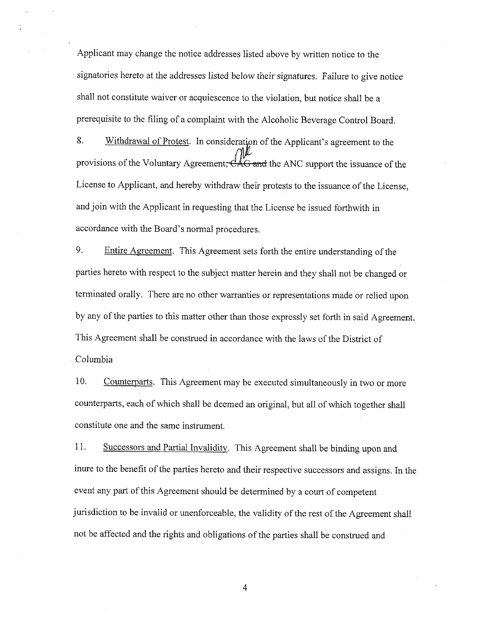Applicant may change the notice addresses listed above by written notice to the signatories hereto at the addresses listed below their signatures. Failure to give notice shall not constitute waiver or acquiescence to the violation, but notice shall be a prerequisite to the filing of a complaint with the Alcoholic Beverage Control Board.

8. Withdrawal of Protest. In consideration of the Applicant's agreement to the provisions of the Voluntary Agreement, CAG and the ANC support the issuance of the License to Applicant, and hereby withdraw their protests to the issuance of the License, and join with the Applicant in requesting that the License be issued forthwith in accordance with the Board's normal procedures.

9. Entire Agreement. This Agreement sets forth the entire understanding of the parties here to with respect to the subject matter herein and they shall not be changed or terminated orally. There are no other warranties or representations made or relied upon by any of the parties to this matter other than those expressly set forth in said Agreement. This Agreement shall be construed in accordance with the laws of the District of Columbia

10. Counterparts. This Agreement may be executed simultaneously in two or more counterparts, each of which shall be deemed an original, but all of which together shall constitute one and the same instrument.

11. Successors and Partial Invalidity. This Agreement shall be binding upon and inure to the benefit of the parties hereto and their respective successors and assigns. In the event any part of this Agreement should be determined by a court of competent jurisdiction to be invalid or unenforceable, the validity of the rest of the Agreement shall not be affected and the rights and obligations of the parties shall be construed and

 $\overline{4}$